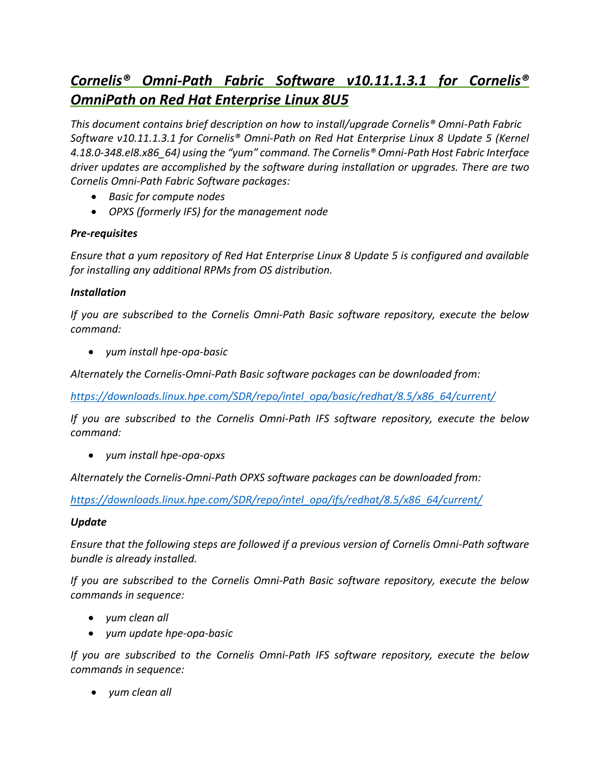# *Cornelis® Omni-Path Fabric Software v10.11.1.3.1 for Cornelis® OmniPath on Red Hat Enterprise Linux 8U5*

*This document contains brief description on how to install/upgrade Cornelis® Omni-Path Fabric Software v10.11.1.3.1 for Cornelis® Omni-Path on Red Hat Enterprise Linux 8 Update 5 (Kernel 4.18.0-348.el8.x86\_64) using the "yum" command. The Cornelis® Omni-Path Host Fabric Interface driver updates are accomplished by the software during installation or upgrades. There are two Cornelis Omni-Path Fabric Software packages:*

- *Basic for compute nodes*
- *OPXS (formerly IFS) for the management node*

## *Pre-requisites*

*Ensure that a yum repository of Red Hat Enterprise Linux 8 Update 5 is configured and available for installing any additional RPMs from OS distribution.*

### *Installation*

*If you are subscribed to the Cornelis Omni-Path Basic software repository, execute the below command:*

• *yum install hpe-opa-basic*

*Alternately the Cornelis-Omni-Path Basic software packages can be downloaded from:*

*[https://downloads.linux.hpe.com/SDR/repo/intel\\_opa/basic/redhat/8.5/x86\\_64/current/](https://downloads.linux.hpe.com/SDR/repo/intel_opa/basic/redhat/8.5/x86_64/current/)*

*If you are subscribed to the Cornelis Omni-Path IFS software repository, execute the below command:*

• *yum install hpe-opa-opxs*

*Alternately the Cornelis-Omni-Path OPXS software packages can be downloaded from:*

*[https://downloads.linux.hpe.com/SDR/repo/intel\\_opa/ifs/redhat/8.5/x86\\_64/current/](https://downloads.linux.hpe.com/SDR/repo/intel_opa/ifs/redhat/8.5/x86_64/current/)*

#### *Update*

*Ensure that the following steps are followed if a previous version of Cornelis Omni-Path software bundle is already installed.*

*If you are subscribed to the Cornelis Omni-Path Basic software repository, execute the below commands in sequence:*

- *yum clean all*
- *yum update hpe-opa-basic*

*If you are subscribed to the Cornelis Omni-Path IFS software repository, execute the below commands in sequence:*

• *yum clean all*